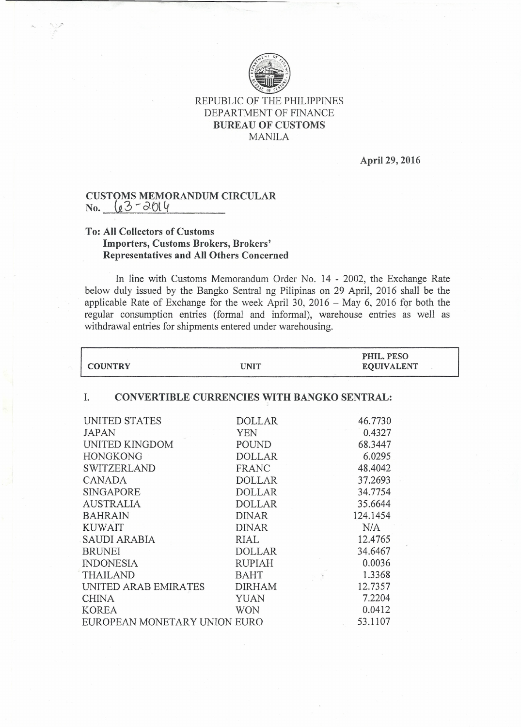

## REPUBLIC OF THE PHILIPPINES DEPARTMENT OF FINANCE BUREAU OF CUSTOMS MANILA

April 29, 2016

## CUSTOMS MEMORANDUM CIRCULAR  $No. \leq 23 - 2014$

## To: All Collectors of Customs Importers, Customs Brokers, Brokers' Representatives and All Others Concerned

In line with Customs Memorandum Order No. 14 - 2002, the Exchange Rate below duly issued by the Bangko Sentral ng Pilipinas on 29 April, 2016 shall be the applicable Rate of Exchange for the week April 30, 2016 - May 6, 2016 for both the regular consumption entries (formal and informal), warehouse entries as well as withdrawal entries for shipments entered under warehousing.

| <b>COUNTRY</b>                                                                                                                                                                       | <b>UNIT</b>                                                                                                                       | PHIL. PESO<br><b>EQUIVALENT</b>                                                                |  |
|--------------------------------------------------------------------------------------------------------------------------------------------------------------------------------------|-----------------------------------------------------------------------------------------------------------------------------------|------------------------------------------------------------------------------------------------|--|
| CONVERTIBLE CURRENCIES WITH BANGKO SENTRAL:<br>I.                                                                                                                                    |                                                                                                                                   |                                                                                                |  |
| UNITED STATES<br><b>JAPAN</b><br>UNITED KINGDOM<br><b>HONGKONG</b><br><b>SWITZERLAND</b><br><b>CANADA</b><br><b>SINGAPORE</b><br><b>AUSTRALIA</b><br><b>BAHRAIN</b>                  | <b>DOLLAR</b><br>YEN<br>POUND<br><b>DOLLAR</b><br><b>FRANC</b><br><b>DOLLAR</b><br><b>DOLLAR</b><br><b>DOLLAR</b><br><b>DINAR</b> | 46.7730<br>0.4327<br>68.3447<br>6.0295<br>48.4042<br>37.2693<br>34.7754<br>35.6644<br>124.1454 |  |
| <b>KUWAIT</b><br><b>SAUDI ARABIA</b><br><b>BRUNEI</b><br><b>INDONESIA</b><br><b>THAILAND</b><br>UNITED ARAB EMIRATES<br><b>CHINA</b><br><b>KOREA</b><br>EUROPEAN MONETARY UNION EURO | <b>DINAR</b><br>RIAL<br><b>DOLLAR</b><br><b>RUPIAH</b><br><b>BAHT</b><br><b>DIRHAM</b><br><b>YUAN</b><br><b>WON</b>               | N/A<br>12.4765<br>34.6467<br>0.0036<br>1.3368<br>12.7357<br>7.2204<br>0.0412<br>53.1107        |  |